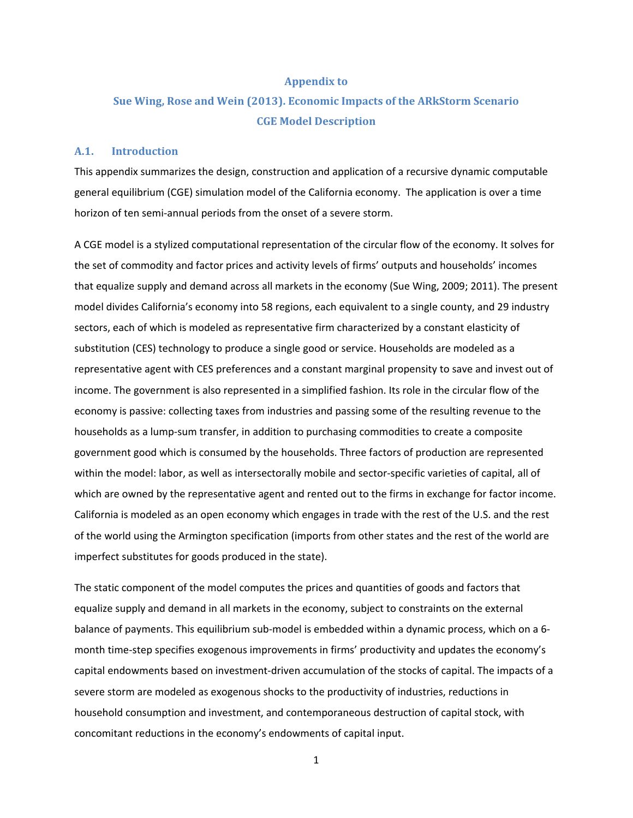#### **Appendix to**

# **Sue Wing, Rose and Wein (2013). Economic Impacts of the ARkStorm Scenario CGE Model Description**

#### **A.1. Introduction**

This appendix summarizes the design, construction and application of a recursive dynamic computable general equilibrium (CGE) simulation model of the California economy. The application is over a time horizon of ten semi-annual periods from the onset of a severe storm.

A CGE model is a stylized computational representation of the circular flow of the economy. It solves for the set of commodity and factor prices and activity levels of firms' outputs and households' incomes that equalize supply and demand across all markets in the economy (Sue Wing, 2009; 2011). The present model divides California's economy into 58 regions, each equivalent to a single county, and 29 industry sectors, each of which is modeled as representative firm characterized by a constant elasticity of substitution (CES) technology to produce a single good or service. Households are modeled as a representative agent with CES preferences and a constant marginal propensity to save and invest out of income. The government is also represented in a simplified fashion. Its role in the circular flow of the economy is passive: collecting taxes from industries and passing some of the resulting revenue to the households as a lump-sum transfer, in addition to purchasing commodities to create a composite government good which is consumed by the households. Three factors of production are represented within the model: labor, as well as intersectorally mobile and sector-specific varieties of capital, all of which are owned by the representative agent and rented out to the firms in exchange for factor income. California is modeled as an open economy which engages in trade with the rest of the U.S. and the rest of the world using the Armington specification (imports from other states and the rest of the world are imperfect substitutes for goods produced in the state).

The static component of the model computes the prices and quantities of goods and factors that equalize supply and demand in all markets in the economy, subject to constraints on the external balance of payments. This equilibrium sub-model is embedded within a dynamic process, which on a 6 month time-step specifies exogenous improvements in firms' productivity and updates the economy's capital endowments based on investment-driven accumulation of the stocks of capital. The impacts of a severe storm are modeled as exogenous shocks to the productivity of industries, reductions in household consumption and investment, and contemporaneous destruction of capital stock, with concomitant reductions in the economy's endowments of capital input.

1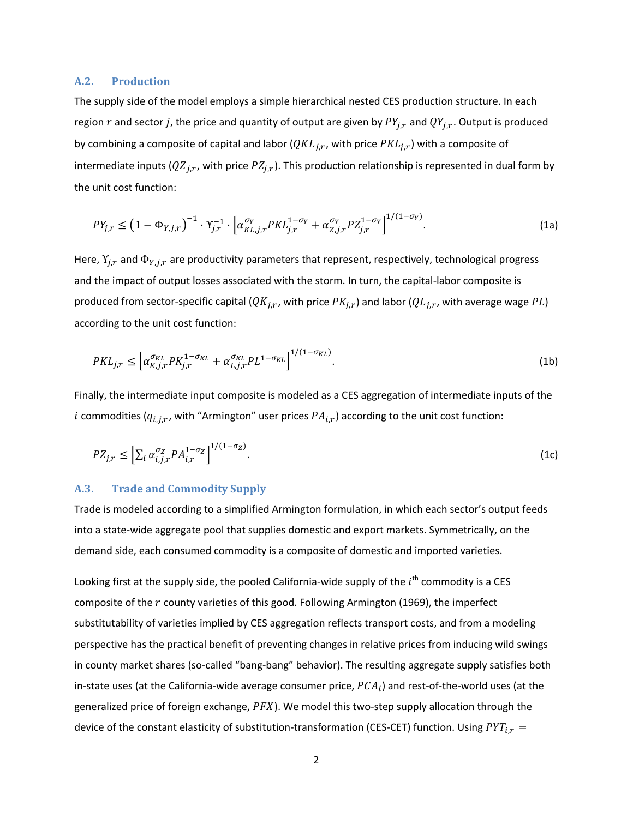#### **A.2. Production**

The supply side of the model employs a simple hierarchical nested CES production structure. In each region r and sector j, the price and quantity of output are given by  $PY_{i,r}$  and  $QY_{i,r}$ . Output is produced by combining a composite of capital and labor ( $QKL_{j,r}$ , with price  $PKL_{j,r}$ ) with a composite of intermediate inputs ( $QZ_{j,r}$ , with price  $PZ_{j,r}$ ). This production relationship is represented in dual form by the unit cost function:

$$
PY_{j,r} \leq \left(1 - \Phi_{Y,j,r}\right)^{-1} \cdot Y_{j,r}^{-1} \cdot \left[\alpha_{KL,j,r}^{\sigma_Y} P KL_{j,r}^{1 - \sigma_Y} + \alpha_{Z,j,r}^{\sigma_Y} P Z_{j,r}^{1 - \sigma_Y}\right]^{1/(1 - \sigma_Y)}.
$$
\n(1a)

Here,  $Y_{i,r}$  and  $\Phi_{Y,i,r}$  are productivity parameters that represent, respectively, technological progress and the impact of output losses associated with the storm. In turn, the capital-labor composite is produced from sector-specific capital  $(QK_{i,r}, \text{with price } PK_{i,r})$  and labor  $(QL_{i,r}, \text{with average } PL)$ according to the unit cost function:

$$
PKL_{j,r} \le \left[ \alpha_{K,j,r}^{\sigma_{KL}} PK_{j,r}^{1-\sigma_{KL}} + \alpha_{L,j,r}^{\sigma_{KL}} PL^{1-\sigma_{KL}} \right]^{1/(1-\sigma_{KL})}.
$$
\n(1b)

Finally, the intermediate input composite is modeled as a CES aggregation of intermediate inputs of the *i* commodities ( $q_{i,j,r}$ , with "Armington" user prices  $PA_{i,r}$ ) according to the unit cost function:

$$
PZ_{j,r} \leq \left[\sum_{i} \alpha_{i,j,r}^{\sigma_Z} P A_{i,r}^{1-\sigma_Z}\right]^{1/(1-\sigma_Z)}.\tag{1c}
$$

### **A.3. Trade and Commodity Supply**

Trade is modeled according to a simplified Armington formulation, in which each sector's output feeds into a state-wide aggregate pool that supplies domestic and export markets. Symmetrically, on the demand side, each consumed commodity is a composite of domestic and imported varieties.

Looking first at the supply side, the pooled California-wide supply of the  $i^{\text{th}}$  commodity is a CES composite of the r county varieties of this good. Following Armington (1969), the imperfect substitutability of varieties implied by CES aggregation reflects transport costs, and from a modeling perspective has the practical benefit of preventing changes in relative prices from inducing wild swings in county market shares (so-called "bang-bang" behavior). The resulting aggregate supply satisfies both in-state uses (at the California-wide average consumer price,  $PCA_i$ ) and rest-of-the-world uses (at the generalized price of foreign exchange,  $PFX$ ). We model this two-step supply allocation through the device of the constant elasticity of substitution-transformation (CES-CET) function. Using  $PYT_{i,r}$  =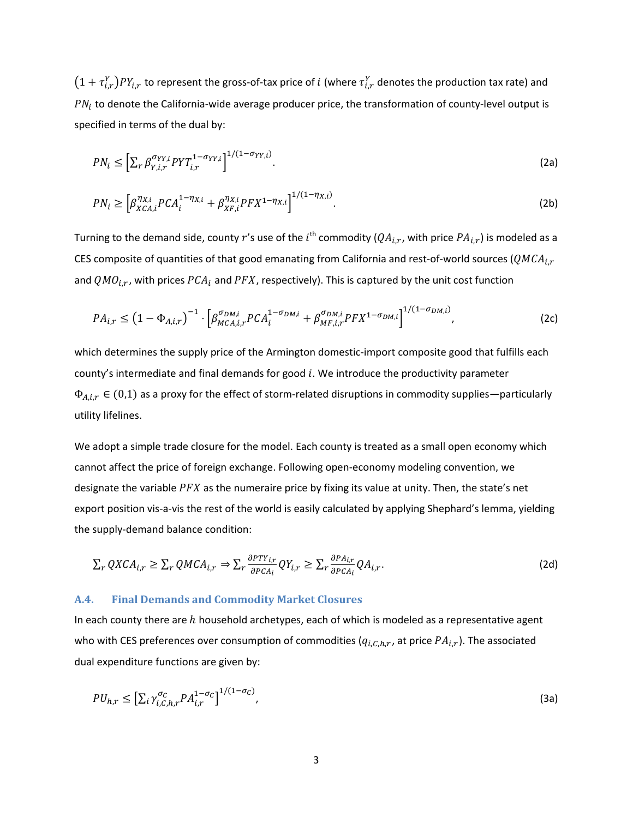$(1+\tau_{i,r}^Y)PY_{i,r}$  to represent the gross-of-tax price of i (where  $\tau_{i,r}^Y$  denotes the production tax rate) and  $PN_i$  to denote the California-wide average producer price, the transformation of county-level output is specified in terms of the dual by:

$$
PN_i \leq \left[\sum_{r} \beta_{Y,i,r}^{\sigma_{YY,i}} PY T_{i,r}^{1-\sigma_{YY,i}}\right]^{1/(1-\sigma_{YY,i})}.
$$
\n(2a)

$$
PN_i \ge \left[ \beta_{XCA,i}^{\eta_{X,i}} PCA_i^{1-\eta_{X,i}} + \beta_{XF,i}^{\eta_{X,i}} PFX^{1-\eta_{X,i}} \right]^{1/(1-\eta_{X,i})}.
$$
 (2b)

Turning to the demand side, county  $r'$ s use of the  $i^{\text{th}}$  commodity ( $QA_{i,r}$ , with price  $PA_{i,r}$ ) is modeled as a CES composite of quantities of that good emanating from California and rest-of-world sources ( $QMCA_{i,r}$ and  $QMO_{i,r}$ , with prices  $PCA_i$  and  $PFX$ , respectively). This is captured by the unit cost function

$$
PA_{i,r} \leq \left(1 - \Phi_{A,i,r}\right)^{-1} \cdot \left[\beta_{MCA,i,r}^{\sigma_{DM,i}} PCA_i^{1-\sigma_{DM,i}} + \beta_{MF,i,r}^{\sigma_{DM,i}} PFX^{1-\sigma_{DM,i}}\right]^{1/(1-\sigma_{DM,i})},\tag{2c}
$$

which determines the supply price of the Armington domestic-import composite good that fulfills each county's intermediate and final demands for good  $i$ . We introduce the productivity parameter  $\Phi_{A,i,r} \in (0,1)$  as a proxy for the effect of storm-related disruptions in commodity supplies—particularly utility lifelines.

We adopt a simple trade closure for the model. Each county is treated as a small open economy which cannot affect the price of foreign exchange. Following open-economy modeling convention, we designate the variable  $PFX$  as the numeraire price by fixing its value at unity. Then, the state's net export position vis-a-vis the rest of the world is easily calculated by applying Shephard's lemma, yielding the supply-demand balance condition:

$$
\sum_{r} QXCA_{i,r} \ge \sum_{r} QMCA_{i,r} \Rightarrow \sum_{r} \frac{\partial PTY_{i,r}}{\partial PCA_{i}} QY_{i,r} \ge \sum_{r} \frac{\partial PA_{i,r}}{\partial PCA_{i}} QA_{i,r}.
$$
\n(2d)

### **A.4. Final Demands and Commodity Market Closures**

In each county there are  $h$  household archetypes, each of which is modeled as a representative agent who with CES preferences over consumption of commodities ( $q_{i,C,h,r}$ , at price  $PA_{i,r}$ ). The associated dual expenditure functions are given by:

$$
PU_{h,r} \leq \left[\sum_{i} \gamma_{i,C,h,r}^{\sigma_C} P A_{i,r}^{1-\sigma_C}\right]^{1/(1-\sigma_C)},\tag{3a}
$$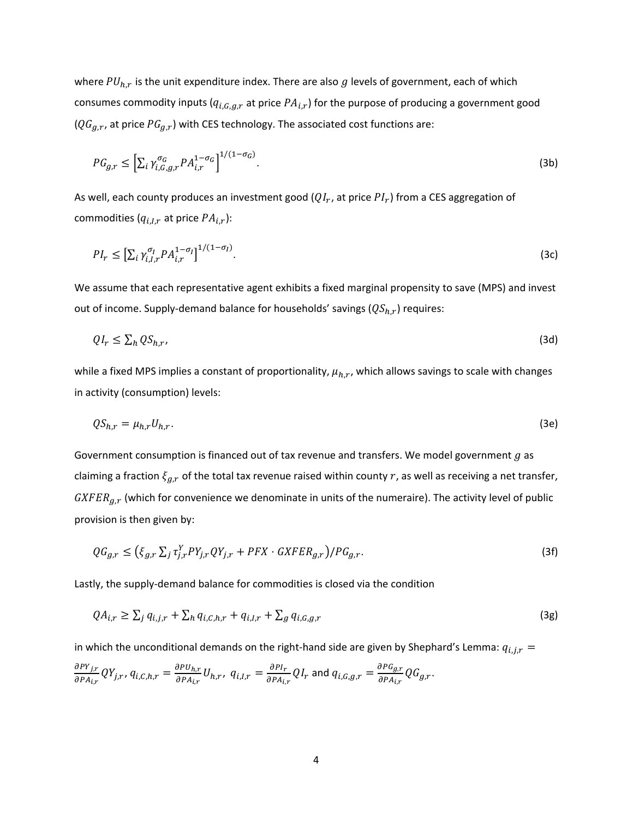where  $PU_{h,r}$  is the unit expenditure index. There are also g levels of government, each of which consumes commodity inputs ( $q_{i,G,g,r}$  at price  $PA_{i,r}$ ) for the purpose of producing a government good  $(QG_{g,r})$ , at price  $PG_{g,r}$ ) with CES technology. The associated cost functions are:

$$
PG_{g,r} \leq \left[\sum_{i} \gamma_{i,G,g,r}^{\sigma_G} P A_{i,r}^{1-\sigma_G}\right]^{1/(1-\sigma_G)}.
$$
\n(3b)

As well, each county produces an investment good  $(QI_r)$ , at price  $PI_r$ ) from a CES aggregation of commodities  $(q_{i,I,r}$  at price  $PA_{i,r}$ ):

$$
PI_r \leq \left[\sum_i \gamma_{i,I,r}^{\sigma_I} P A_{i,r}^{1-\sigma_I}\right]^{1/(1-\sigma_I)}.\tag{3c}
$$

We assume that each representative agent exhibits a fixed marginal propensity to save (MPS) and invest out of income. Supply-demand balance for households' savings  $(QS<sub>h,r</sub>)$  requires:

$$
QI_r \leq \sum_h QS_{h,r},\tag{3d}
$$

while a fixed MPS implies a constant of proportionality,  $\mu_{h,r}$ , which allows savings to scale with changes in activity (consumption) levels:

$$
QS_{h,r} = \mu_{h,r} U_{h,r}.\tag{3e}
$$

Government consumption is financed out of tax revenue and transfers. We model government  $g$  as claiming a fraction  $\xi_{q,r}$  of the total tax revenue raised within county r, as well as receiving a net transfer,  $GXFER_{q,r}$  (which for convenience we denominate in units of the numeraire). The activity level of public provision is then given by:

$$
QG_{g,r} \leq (\xi_{g,r} \sum_j \tau_{j,r}^Y PY_{j,r} QY_{j,r} + PFX \cdot GXFER_{g,r}) / PG_{g,r}.
$$
\n(3f)

Lastly, the supply-demand balance for commodities is closed via the condition

$$
QA_{i,r} \ge \sum_{j} q_{i,j,r} + \sum_{h} q_{i,C,h,r} + q_{i,I,r} + \sum_{g} q_{i,G,g,r}
$$
\n(3g)

in which the unconditional demands on the right-hand side are given by Shephard's Lemma:  $q_{i,j,r}$  =

$$
\frac{\partial P Y_{j,r}}{\partial P A_{i,r}} Q Y_{j,r}, q_{i,C,h,r} = \frac{\partial P U_{h,r}}{\partial P A_{i,r}} U_{h,r}, q_{i,I,r} = \frac{\partial P I_r}{\partial P A_{i,r}} Q I_r \text{ and } q_{i,G,g,r} = \frac{\partial P G_{g,r}}{\partial P A_{i,r}} Q G_{g,r}.
$$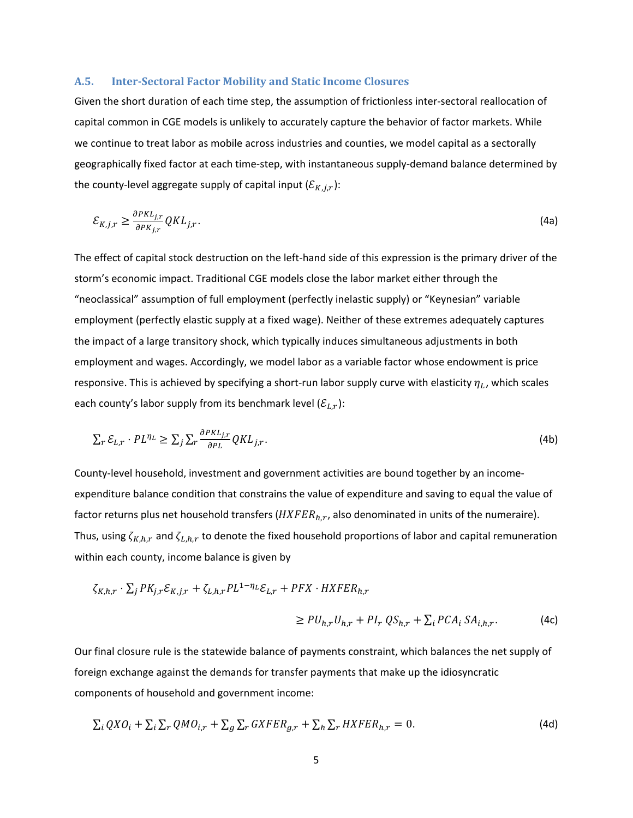#### **A.5. Inter-Sectoral Factor Mobility and Static Income Closures**

Given the short duration of each time step, the assumption of frictionless inter-sectoral reallocation of capital common in CGE models is unlikely to accurately capture the behavior of factor markets. While we continue to treat labor as mobile across industries and counties, we model capital as a sectorally geographically fixed factor at each time-step, with instantaneous supply-demand balance determined by the county-level aggregate supply of capital input  $(\mathcal{E}_{K,i,r})$ :

$$
\mathcal{E}_{K,j,r} \ge \frac{\partial PKL_{j,r}}{\partial PKL_{j,r}} QKL_{j,r}.\tag{4a}
$$

The effect of capital stock destruction on the left-hand side of this expression is the primary driver of the storm's economic impact. Traditional CGE models close the labor market either through the "neoclassical" assumption of full employment (perfectly inelastic supply) or "Keynesian" variable employment (perfectly elastic supply at a fixed wage). Neither of these extremes adequately captures the impact of a large transitory shock, which typically induces simultaneous adjustments in both employment and wages. Accordingly, we model labor as a variable factor whose endowment is price responsive. This is achieved by specifying a short-run labor supply curve with elasticity  $\eta_L$ , which scales each county's labor supply from its benchmark level  $(\mathcal{E}_{L,r})$ :

$$
\sum_{r} \mathcal{E}_{L,r} \cdot PL^{\eta_L} \ge \sum_{j} \sum_{r} \frac{\partial PKL_{j,r}}{\partial PL} QKL_{j,r}.\tag{4b}
$$

County-level household, investment and government activities are bound together by an incomeexpenditure balance condition that constrains the value of expenditure and saving to equal the value of factor returns plus net household transfers  $(HXFER_{h,r})$ , also denominated in units of the numeraire). Thus, using  $\zeta_{K,h,r}$  and  $\zeta_{L,h,r}$  to denote the fixed household proportions of labor and capital remuneration within each county, income balance is given by

$$
\zeta_{K,h,r} \cdot \sum_{j} PK_{j,r} \mathcal{E}_{K,j,r} + \zeta_{L,h,r} PL^{1-\eta_L} \mathcal{E}_{L,r} + PFX \cdot HXFER_{h,r}
$$
\n
$$
\geq PU_{h,r}U_{h,r} + Pl_r QS_{h,r} + \sum_{i} PCA_i SA_{i,h,r}.
$$
\n(4c)

Our final closure rule is the statewide balance of payments constraint, which balances the net supply of foreign exchange against the demands for transfer payments that make up the idiosyncratic components of household and government income:

$$
\sum_{i} QXO_{i} + \sum_{i} \sum_{r} QMO_{i,r} + \sum_{g} \sum_{r} GXFER_{g,r} + \sum_{h} \sum_{r} HXFER_{h,r} = 0.
$$
\n(4d)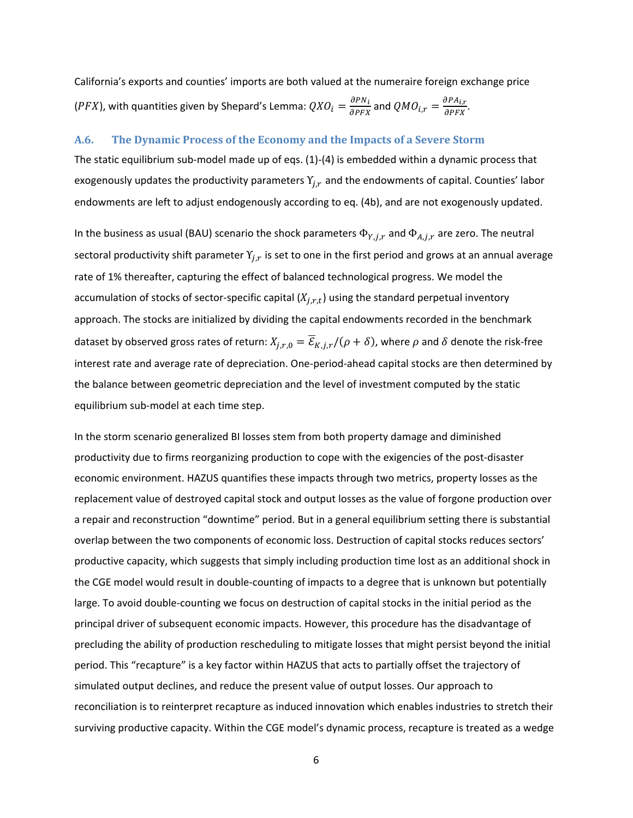California's exports and counties' imports are both valued at the numeraire foreign exchange price (PFX), with quantities given by Shepard's Lemma:  $QXO_i = \frac{\partial PN_i}{\partial PFX}$  and  $QMO_{i,r} = \frac{\partial PA_{i,r}}{\partial PFX}$ .

#### **A.6. The Dynamic Process of the Economy and the Impacts of a Severe Storm**

The static equilibrium sub-model made up of eqs. (1)-(4) is embedded within a dynamic process that exogenously updates the productivity parameters  $Y_{j,r}$  and the endowments of capital. Counties' labor endowments are left to adjust endogenously according to eq. (4b), and are not exogenously updated.

In the business as usual (BAU) scenario the shock parameters  $\Phi_{Y, i,r}$  and  $\Phi_{A, i,r}$  are zero. The neutral sectoral productivity shift parameter  $Y_{i,r}$  is set to one in the first period and grows at an annual average rate of 1% thereafter, capturing the effect of balanced technological progress. We model the accumulation of stocks of sector-specific capital  $(X_{i,r,t})$  using the standard perpetual inventory approach. The stocks are initialized by dividing the capital endowments recorded in the benchmark dataset by observed gross rates of return:  $X_{i,r,0} = \overline{\mathcal{E}}_{K,i,r} / (\rho + \delta)$ , where  $\rho$  and  $\delta$  denote the risk-free interest rate and average rate of depreciation. One-period-ahead capital stocks are then determined by the balance between geometric depreciation and the level of investment computed by the static equilibrium sub-model at each time step.

In the storm scenario generalized BI losses stem from both property damage and diminished productivity due to firms reorganizing production to cope with the exigencies of the post-disaster economic environment. HAZUS quantifies these impacts through two metrics, property losses as the replacement value of destroyed capital stock and output losses as the value of forgone production over a repair and reconstruction "downtime" period. But in a general equilibrium setting there is substantial overlap between the two components of economic loss. Destruction of capital stocks reduces sectors' productive capacity, which suggests that simply including production time lost as an additional shock in the CGE model would result in double-counting of impacts to a degree that is unknown but potentially large. To avoid double-counting we focus on destruction of capital stocks in the initial period as the principal driver of subsequent economic impacts. However, this procedure has the disadvantage of precluding the ability of production rescheduling to mitigate losses that might persist beyond the initial period. This "recapture" is a key factor within HAZUS that acts to partially offset the trajectory of simulated output declines, and reduce the present value of output losses. Our approach to reconciliation is to reinterpret recapture as induced innovation which enables industries to stretch their surviving productive capacity. Within the CGE model's dynamic process, recapture is treated as a wedge

6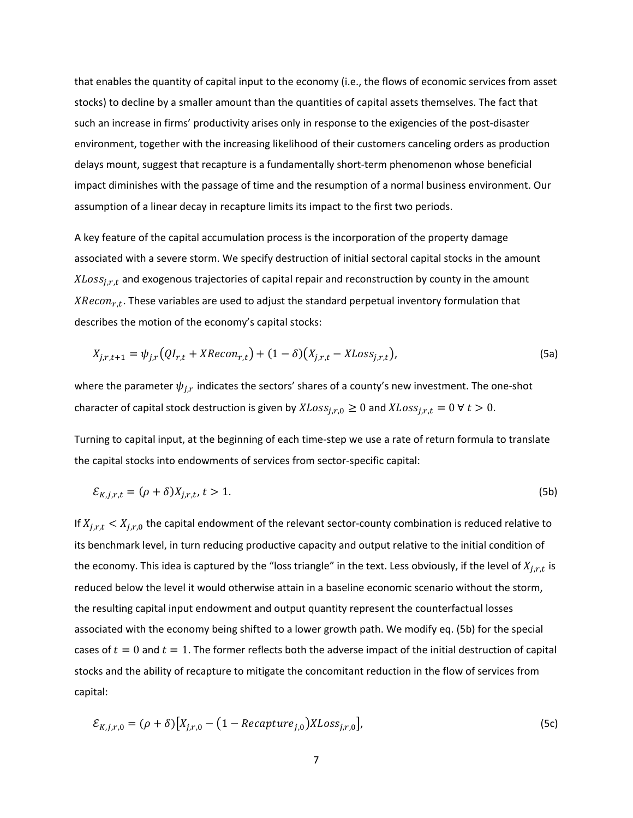that enables the quantity of capital input to the economy (i.e., the flows of economic services from asset stocks) to decline by a smaller amount than the quantities of capital assets themselves. The fact that such an increase in firms' productivity arises only in response to the exigencies of the post-disaster environment, together with the increasing likelihood of their customers canceling orders as production delays mount, suggest that recapture is a fundamentally short-term phenomenon whose beneficial impact diminishes with the passage of time and the resumption of a normal business environment. Our assumption of a linear decay in recapture limits its impact to the first two periods.

A key feature of the capital accumulation process is the incorporation of the property damage associated with a severe storm. We specify destruction of initial sectoral capital stocks in the amount  $XLoss_{ir,t}$  and exogenous trajectories of capital repair and reconstruction by county in the amount  $XRecon_{r,t}$ . These variables are used to adjust the standard perpetual inventory formulation that describes the motion of the economy's capital stocks:

$$
X_{j,r,t+1} = \psi_{j,r} (QI_{r,t} + XRecon_{r,t}) + (1 - \delta) (X_{j,r,t} - XLoss_{j,r,t}),
$$
\n(5a)

where the parameter  $\psi_{i,r}$  indicates the sectors' shares of a county's new investment. The one-shot character of capital stock destruction is given by  $XLoss_{j,r,0} \ge 0$  and  $XLoss_{j,r,t} = 0 \forall t > 0$ .

Turning to capital input, at the beginning of each time-step we use a rate of return formula to translate the capital stocks into endowments of services from sector-specific capital:

$$
\mathcal{E}_{K,j,r,t} = (\rho + \delta)X_{j,r,t}, \, t > 1. \tag{5b}
$$

If  $X_{j,r,t} < X_{j,r,0}$  the capital endowment of the relevant sector-county combination is reduced relative to its benchmark level, in turn reducing productive capacity and output relative to the initial condition of the economy. This idea is captured by the "loss triangle" in the text. Less obviously, if the level of  $X_{i,r,t}$  is reduced below the level it would otherwise attain in a baseline economic scenario without the storm, the resulting capital input endowment and output quantity represent the counterfactual losses associated with the economy being shifted to a lower growth path. We modify eq. (5b) for the special cases of  $t=0$  and  $t=1$ . The former reflects both the adverse impact of the initial destruction of capital stocks and the ability of recapture to mitigate the concomitant reduction in the flow of services from capital:

$$
\mathcal{E}_{K,j,r,0} = (\rho + \delta) \big[ X_{j,r,0} - \big( 1 - Recapture_{j,0} \big) XLoss_{j,r,0} \big],\tag{5c}
$$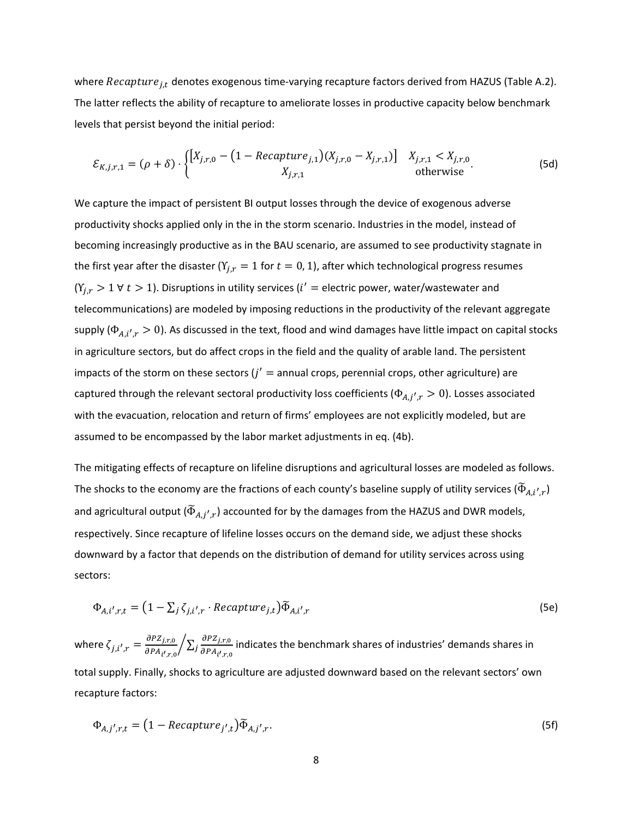where  $Recapture_{j,t}$  denotes exogenous time-varying recapture factors derived from HAZUS (Table A.2). The latter reflects the ability of recapture to ameliorate losses in productive capacity below benchmark levels that persist beyond the initial period:

$$
\mathcal{E}_{K,j,r,1} = (\rho + \delta) \cdot \begin{cases} \left[ X_{j,r,0} - \left( 1 - Recapture_{j,1} \right) (X_{j,r,0} - X_{j,r,1}) \right] & X_{j,r,1} < X_{j,r,0} \\ X_{j,r,1} & \text{otherwise} \end{cases} \tag{5d}
$$

We capture the impact of persistent BI output losses through the device of exogenous adverse productivity shocks applied only in the in the storm scenario. Industries in the model, instead of becoming increasingly productive as in the BAU scenario, are assumed to see productivity stagnate in the first year after the disaster ( $Y_{i,r} = 1$  for  $t = 0, 1$ ), after which technological progress resumes  $(Y_{j,r} > 1 \forall t > 1)$ . Disruptions in utility services ( $i' =$  electric power, water/wastewater and telecommunications) are modeled by imposing reductions in the productivity of the relevant aggregate supply ( $\Phi_{A,i',r} > 0$ ). As discussed in the text, flood and wind damages have little impact on capital stocks in agriculture sectors, but do affect crops in the field and the quality of arable land. The persistent impacts of the storm on these sectors  $(j' =$  annual crops, perennial crops, other agriculture) are captured through the relevant sectoral productivity loss coefficients ( $\Phi_{A,j',r} > 0$ ). Losses associated with the evacuation, relocation and return of firms' employees are not explicitly modeled, but are assumed to be encompassed by the labor market adjustments in eq. (4b).

The mitigating effects of recapture on lifeline disruptions and agricultural losses are modeled as follows. The shocks to the economy are the fractions of each county's baseline supply of utility services ( $\tilde{\Phi}_{A,i',r}$ ) and agricultural output ( $\widetilde{\Phi}_{A,i',r}$ ) accounted for by the damages from the HAZUS and DWR models, respectively. Since recapture of lifeline losses occurs on the demand side, we adjust these shocks downward by a factor that depends on the distribution of demand for utility services across using sectors:

$$
\Phi_{A,i',r,t} = (1 - \sum_{j} \zeta_{j,i',r} \cdot Recapture_{j,t}) \widetilde{\Phi}_{A,i',r}
$$
\n(5e)

where  $\zeta_{j,i',r} = \frac{\partial PZ_{j,r,0}}{\partial P A_{i',r,0}}$  $\sum_{i} \frac{\partial PZ_{j,r,0}}{\partial P}$  $\sqrt{\sum_j \frac{\partial^2 L_{j,r,0}}{\partial P A_{i',r,0}}}$  indicates the benchmark shares of industries' demands shares in total supply. Finally, shocks to agriculture are adjusted downward based on the relevant sectors' own recapture factors:

$$
\Phi_{A,j',r,t} = (1 - Recapture_{j',t})\widetilde{\Phi}_{A,j',r}.
$$
\n(5f)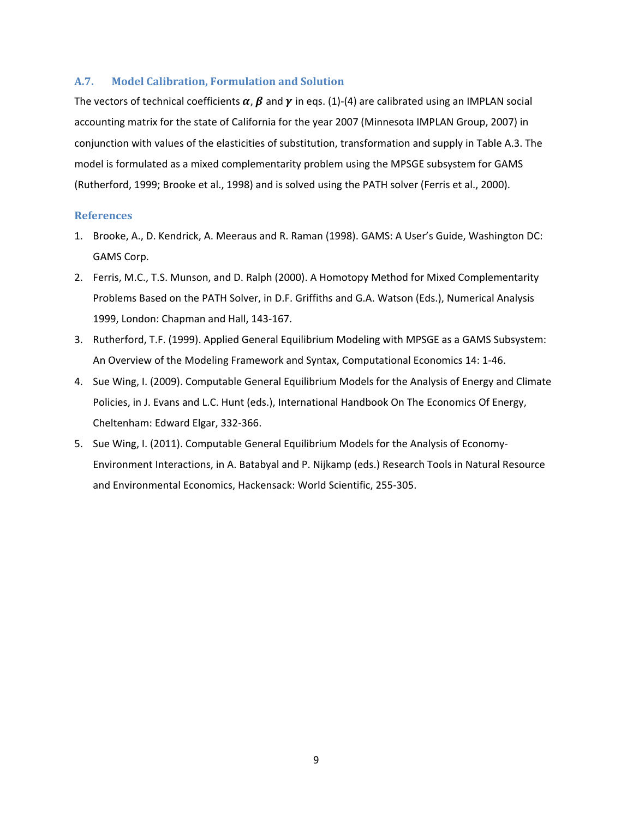#### **A.7. Model Calibration, Formulation and Solution**

The vectors of technical coefficients  $\alpha$ ,  $\beta$  and  $\gamma$  in eqs. (1)-(4) are calibrated using an IMPLAN social accounting matrix for the state of California for the year 2007 (Minnesota IMPLAN Group, 2007) in conjunction with values of the elasticities of substitution, transformation and supply in Table A.3. The model is formulated as a mixed complementarity problem using the MPSGE subsystem for GAMS (Rutherford, 1999; Brooke et al., 1998) and is solved using the PATH solver (Ferris et al., 2000).

#### **References**

- 1. Brooke, A., D. Kendrick, A. Meeraus and R. Raman (1998). GAMS: A User's Guide, Washington DC: GAMS Corp.
- 2. Ferris, M.C., T.S. Munson, and D. Ralph (2000). A Homotopy Method for Mixed Complementarity Problems Based on the PATH Solver, in D.F. Griffiths and G.A. Watson (Eds.), Numerical Analysis 1999, London: Chapman and Hall, 143-167.
- 3. Rutherford, T.F. (1999). Applied General Equilibrium Modeling with MPSGE as a GAMS Subsystem: An Overview of the Modeling Framework and Syntax, Computational Economics 14: 1-46.
- 4. Sue Wing, I. (2009). Computable General Equilibrium Models for the Analysis of Energy and Climate Policies, in J. Evans and L.C. Hunt (eds.), International Handbook On The Economics Of Energy, Cheltenham: Edward Elgar, 332-366.
- 5. Sue Wing, I. (2011). Computable General Equilibrium Models for the Analysis of Economy-Environment Interactions, in A. Batabyal and P. Nijkamp (eds.) Research Tools in Natural Resource and Environmental Economics, Hackensack: World Scientific, 255-305.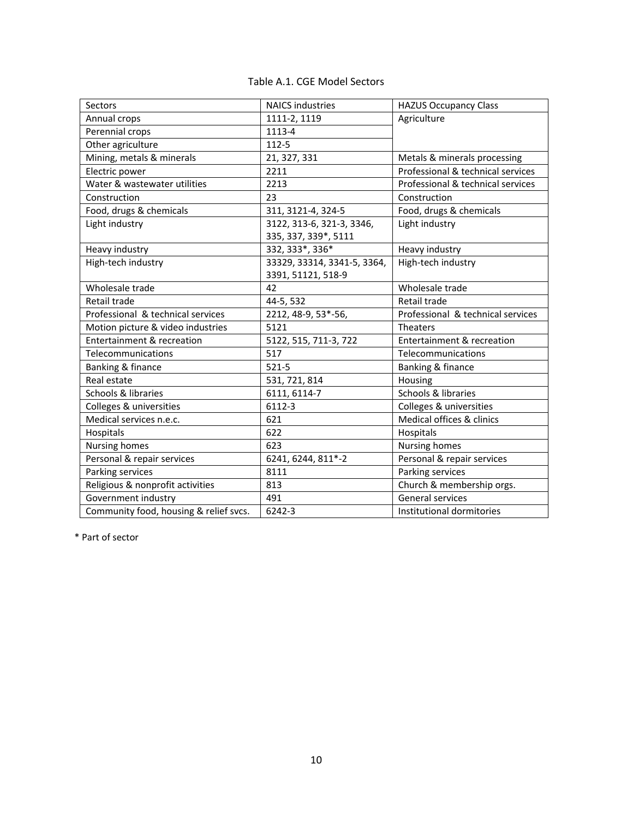| Table A.1. CGE Model Sectors |  |  |  |
|------------------------------|--|--|--|
|------------------------------|--|--|--|

| <b>Sectors</b>                         | <b>NAICS industries</b>     | <b>HAZUS Occupancy Class</b>      |
|----------------------------------------|-----------------------------|-----------------------------------|
| Annual crops                           | 1111-2, 1119                | Agriculture                       |
| Perennial crops                        | 1113-4                      |                                   |
| Other agriculture                      | 112-5                       |                                   |
| Mining, metals & minerals              | 21, 327, 331                | Metals & minerals processing      |
| Electric power                         | 2211                        | Professional & technical services |
| Water & wastewater utilities           | 2213                        | Professional & technical services |
| Construction                           | 23                          | Construction                      |
| Food, drugs & chemicals                | 311, 3121-4, 324-5          | Food, drugs & chemicals           |
| Light industry                         | 3122, 313-6, 321-3, 3346,   | Light industry                    |
|                                        | 335, 337, 339*, 5111        |                                   |
| Heavy industry                         | 332, 333*, 336*             | Heavy industry                    |
| High-tech industry                     | 33329, 33314, 3341-5, 3364, | High-tech industry                |
|                                        | 3391, 51121, 518-9          |                                   |
| Wholesale trade                        | 42                          | Wholesale trade                   |
| Retail trade                           | 44-5, 532                   | Retail trade                      |
| Professional & technical services      | 2212, 48-9, 53*-56,         | Professional & technical services |
| Motion picture & video industries      | 5121                        | Theaters                          |
| Entertainment & recreation             | 5122, 515, 711-3, 722       | Entertainment & recreation        |
| Telecommunications                     | 517                         | Telecommunications                |
| Banking & finance                      | $521 - 5$                   | Banking & finance                 |
| Real estate                            | 531, 721, 814               | Housing                           |
| Schools & libraries                    | 6111, 6114-7                | Schools & libraries               |
| Colleges & universities                | 6112-3                      | Colleges & universities           |
| Medical services n.e.c.                | 621                         | Medical offices & clinics         |
| Hospitals                              | 622                         | Hospitals                         |
| <b>Nursing homes</b>                   | 623                         | <b>Nursing homes</b>              |
| Personal & repair services             | 6241, 6244, 811*-2          | Personal & repair services        |
| Parking services                       | 8111                        | Parking services                  |
| Religious & nonprofit activities       | 813                         | Church & membership orgs.         |
| Government industry                    | 491                         | General services                  |
| Community food, housing & relief svcs. | 6242-3                      | Institutional dormitories         |

\* Part of sector